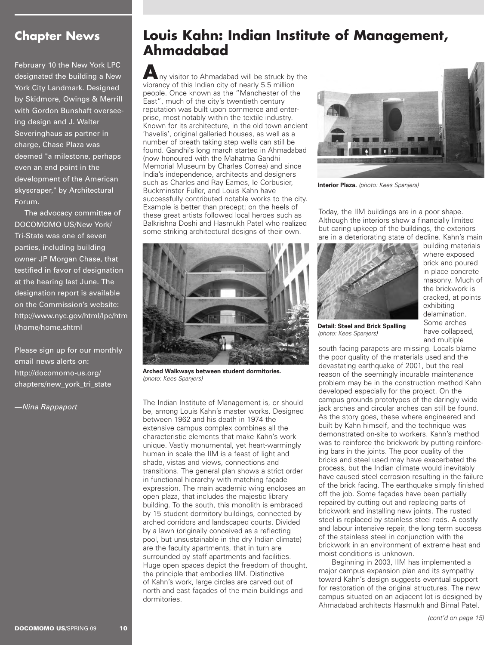## **Chapter News**

**February 10 the New York LPC designated the building a New York City Landmark. Designed by Skidmore, Owings & Merrill with Gordon Bunshaft overseeing design and J. Walter Severinghaus as partner in charge, Chase Plaza was deemed "a milestone, perhaps even an end point in the development of the American skyscraper," by Architectural Forum.** 

**The advocacy committee of DOCOMOMO US/New York/ Tri-State was one of seven parties, including building owner JP Morgan Chase, that testified in favor of designation at the hearing last June. The designation report is available on the Commission's website: http://www.nyc.gov/html/lpc/htm l/home/home.shtml**

**Please sign up for our monthly email news alerts on: http://docomomo-us.org/ chapters/new\_york\_tri\_state**

**—**Nina Rappaport

## **Louis Kahn: Indian Institute of Management, Ahmadabad**

**A**ny visitor to Ahmadabad will be struck by the vibrancy of this Indian city of nearly 5.5 million people. Once known as the "Manchester of the East", much of the city's twentieth century reputation was built upon commerce and enterprise, most notably within the textile industry. Known for its architecture, in the old town ancient 'havelis', original galleried houses, as well as a number of breath taking step wells can still be found. Gandhi's long march started in Ahmadabad (now honoured with the Mahatma Gandhi Memorial Museum by Charles Correa) and since India's independence, architects and designers such as Charles and Ray Eames, le Corbusier, Buckminster Fuller, and Louis Kahn have successfully contributed notable works to the city. Example is better than precept; on the heels of these great artists followed local heroes such as Balkrishna Doshi and Hasmukh Patel who realized some striking architectural designs of their own.



**Arched Walkways between student dormitories.**  (photo: Kees Spanjers)

The Indian Institute of Management is, or should be, among Louis Kahn's master works. Designed between 1962 and his death in 1974 the extensive campus complex combines all the characteristic elements that make Kahn's work unique. Vastly monumental, yet heart-warmingly human in scale the IIM is a feast of light and shade, vistas and views, connections and transitions. The general plan shows a strict order in functional hierarchy with matching façade expression. The main academic wing encloses an open plaza, that includes the majestic library building. To the south, this monolith is embraced by 15 student dormitory buildings, connected by arched corridors and landscaped courts. Divided by a lawn (originally conceived as a reflecting pool, but unsustainable in the dry Indian climate) are the faculty apartments, that in turn are surrounded by staff apartments and facilities. Huge open spaces depict the freedom of thought, the principle that embodies IIM. Distinctive of Kahn's work, large circles are carved out of north and east façades of the main buildings and dormitories.



**Interior Plaza.** (photo: Kees Spanjers)

Today, the IIM buildings are in a poor shape. Although the interiors show a financially limited but caring upkeep of the buildings, the exteriors are in a deteriorating state of decline. Kahn's main



**Detail: Steel and Brick Spalling** (photo: Kees Spanjers)

building materials where exposed brick and poured in place concrete masonry. Much of the brickwork is cracked, at points exhibiting delamination. Some arches have collapsed, and multiple

south facing parapets are missing. Locals blame the poor quality of the materials used and the devastating earthquake of 2001, but the real reason of the seemingly incurable maintenance problem may be in the construction method Kahn developed especially for the project. On the campus grounds prototypes of the daringly wide jack arches and circular arches can still be found. As the story goes, these where engineered and built by Kahn himself, and the technique was demonstrated on-site to workers. Kahn's method was to reinforce the brickwork by putting reinforcing bars in the joints. The poor quality of the bricks and steel used may have exacerbated the process, but the Indian climate would inevitably have caused steel corrosion resulting in the failure of the brick facing. The earthquake simply finished off the job. Some façades have been partially repaired by cutting out and replacing parts of brickwork and installing new joints. The rusted steel is replaced by stainless steel rods. A costly and labour intensive repair, the long term success of the stainless steel in conjunction with the brickwork in an environment of extreme heat and moist conditions is unknown.

Beginning in 2003, IIM has implemented a major campus expansion plan and its sympathy toward Kahn's design suggests eventual support for restoration of the original structures. The new campus situated on an adjacent lot is designed by Ahmadabad architects Hasmukh and Bimal Patel.